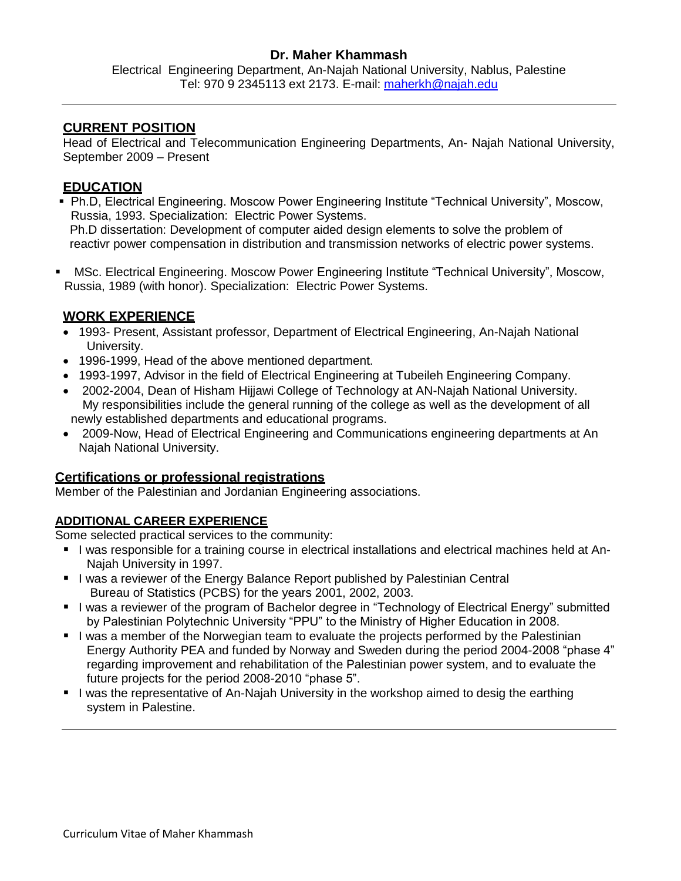## **Dr. Maher Khammash**

Electrical Engineering Department, An-Najah National University, Nablus, Palestine Tel: 970 9 2345113 ext 2173. E-mail: [maherkh@najah.edu](mailto:maherkh@najah.edu)

## **CURRENT POSITION**

Head of Electrical and Telecommunication Engineering Departments, An- Najah National University, September 2009 – Present

## **EDUCATION**

- Ph.D, Electrical Engineering. Moscow Power Engineering Institute "Technical University", Moscow, Russia, 1993. Specialization: Electric Power Systems. Ph.D dissertation: Development of computer aided design elements to solve the problem of reactivr power compensation in distribution and transmission networks of electric power systems.
- MSc. Electrical Engineering. Moscow Power Engineering Institute "Technical University", Moscow, Russia, 1989 (with honor). Specialization: Electric Power Systems.

# **WORK EXPERIENCE**

- 1993- Present, Assistant professor, Department of Electrical Engineering, An-Najah National University.
- 1996-1999, Head of the above mentioned department.
- 1993-1997, Advisor in the field of Electrical Engineering at Tubeileh Engineering Company.
- 2002-2004, Dean of Hisham Hijjawi College of Technology at AN-Najah National University. My responsibilities include the general running of the college as well as the development of all newly established departments and educational programs.
- 2009-Now, Head of Electrical Engineering and Communications engineering departments at An Najah National University.

### **Certifications or professional registrations**

Member of the Palestinian and Jordanian Engineering associations.

#### **ADDITIONAL CAREER EXPERIENCE**

Some selected practical services to the community:

- I was responsible for a training course in electrical installations and electrical machines held at An-Najah University in 1997.
- I was a reviewer of the Energy Balance Report published by Palestinian Central Bureau of Statistics (PCBS) for the years 2001, 2002, 2003.
- I I was a reviewer of the program of Bachelor degree in "Technology of Electrical Energy" submitted by Palestinian Polytechnic University "PPU" to the Ministry of Higher Education in 2008.
- I was a member of the Norwegian team to evaluate the projects performed by the Palestinian Energy Authority PEA and funded by Norway and Sweden during the period 2004-2008 "phase 4" regarding improvement and rehabilitation of the Palestinian power system, and to evaluate the future projects for the period 2008-2010 "phase 5".
- I was the representative of An-Najah University in the workshop aimed to desig the earthing system in Palestine.